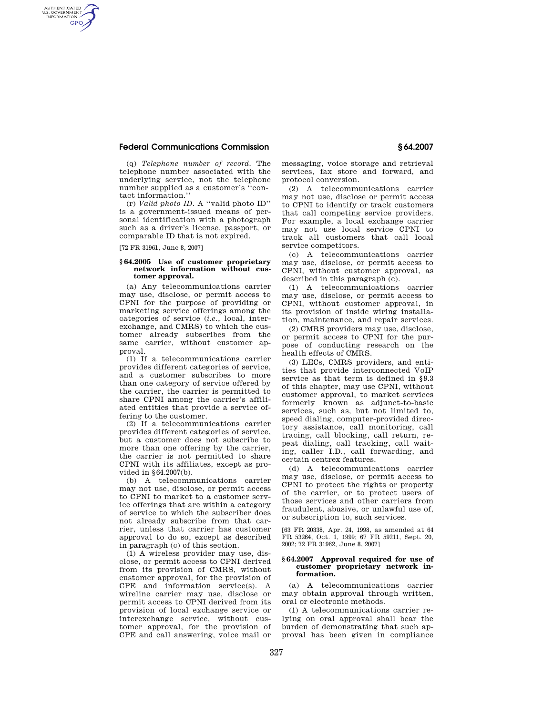## **Federal Communications Commission § 64.2007**

(q) *Telephone number of record.* The telephone number associated with the underlying service, not the telephone number supplied as a customer's ''contact information.''

(r) *Valid photo ID.* A ''valid photo ID'' is a government-issued means of personal identification with a photograph such as a driver's license, passport, or comparable ID that is not expired.

[72 FR 31961, June 8, 2007]

AUTHENTICATED<br>U.S. GOVERNMENT<br>INFORMATION **GPO** 

## **§ 64.2005 Use of customer proprietary network information without customer approval.**

(a) Any telecommunications carrier may use, disclose, or permit access to CPNI for the purpose of providing or marketing service offerings among the categories of service (*i.e.*, local, interexchange, and CMRS) to which the customer already subscribes from the same carrier, without customer approval.

(1) If a telecommunications carrier provides different categories of service, and a customer subscribes to more than one category of service offered by the carrier, the carrier is permitted to share CPNI among the carrier's affiliated entities that provide a service offering to the customer.

(2) If a telecommunications carrier provides different categories of service, but a customer does not subscribe to more than one offering by the carrier, the carrier is not permitted to share CPNI with its affiliates, except as provided in §64.2007(b).

(b) A telecommunications carrier may not use, disclose, or permit access to CPNI to market to a customer service offerings that are within a category of service to which the subscriber does not already subscribe from that carrier, unless that carrier has customer approval to do so, except as described in paragraph (c) of this section.

(1) A wireless provider may use, disclose, or permit access to CPNI derived from its provision of CMRS, without customer approval, for the provision of CPE and information service(s). A wireline carrier may use, disclose or permit access to CPNI derived from its provision of local exchange service or interexchange service, without customer approval, for the provision of CPE and call answering, voice mail or

messaging, voice storage and retrieval services, fax store and forward, and protocol conversion.

(2) A telecommunications carrier may not use, disclose or permit access to CPNI to identify or track customers that call competing service providers. For example, a local exchange carrier may not use local service CPNI to track all customers that call local service competitors.

(c) A telecommunications carrier may use, disclose, or permit access to CPNI, without customer approval, as described in this paragraph (c).

(1) A telecommunications carrier may use, disclose, or permit access to CPNI, without customer approval, in its provision of inside wiring installation, maintenance, and repair services.

(2) CMRS providers may use, disclose, or permit access to CPNI for the purpose of conducting research on the health effects of CMRS.

(3) LECs, CMRS providers, and entities that provide interconnected VoIP service as that term is defined in §9.3 of this chapter, may use CPNI, without customer approval, to market services formerly known as adjunct-to-basic services, such as, but not limited to, speed dialing, computer-provided directory assistance, call monitoring, call tracing, call blocking, call return, repeat dialing, call tracking, call waiting, caller I.D., call forwarding, and certain centrex features.

(d) A telecommunications carrier may use, disclose, or permit access to CPNI to protect the rights or property of the carrier, or to protect users of those services and other carriers from fraudulent, abusive, or unlawful use of, or subscription to, such services.

[63 FR 20338, Apr. 24, 1998, as amended at 64 FR 53264, Oct. 1, 1999; 67 FR 59211, Sept. 20, 2002; 72 FR 31962, June 8, 2007]

## **§ 64.2007 Approval required for use of customer proprietary network information.**

(a) A telecommunications carrier may obtain approval through written, oral or electronic methods.

(1) A telecommunications carrier relying on oral approval shall bear the burden of demonstrating that such approval has been given in compliance